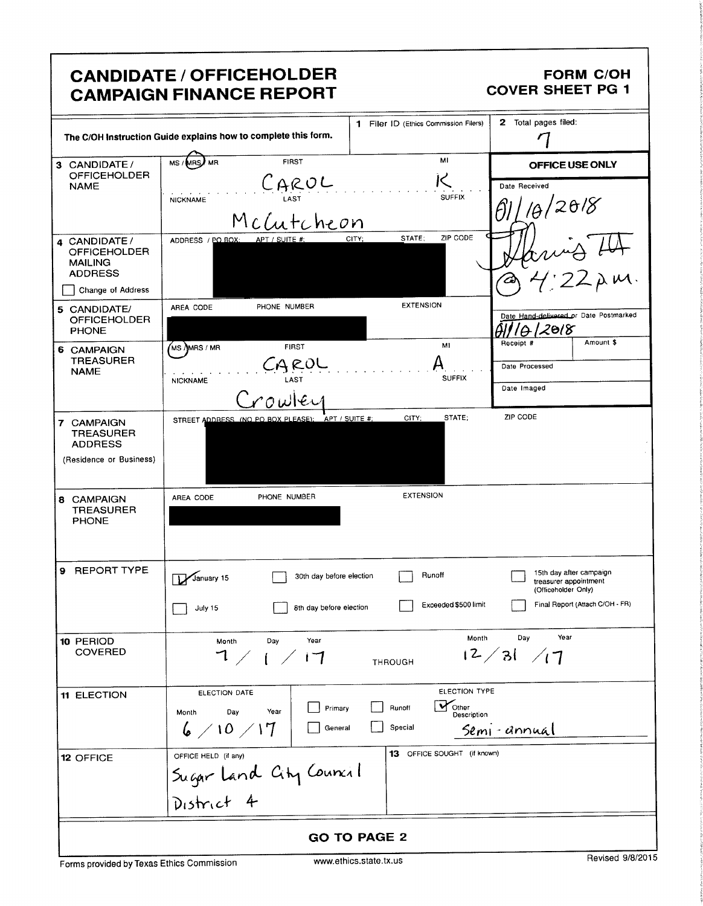# **CANDIDATE / OFFICEHOLDER CAMPAIGN FINANCE REPORT**

#### **FORM C/OH COVER SHEET PG 1**

|                                                                          | The C/OH Instruction Guide explains how to complete this form.         | 1 Filer ID (Ethics Commission Filers)                       | 2 Total pages filed:                                                    |
|--------------------------------------------------------------------------|------------------------------------------------------------------------|-------------------------------------------------------------|-------------------------------------------------------------------------|
| 3 CANDIDATE/<br><b>OFFICEHOLDER</b><br><b>NAME</b>                       | <b>FIRST</b><br>MS / MRS<br><b>MR</b><br>CAROL<br><b>NICKNAME</b>      | мг<br><b>SUFFIX</b>                                         | OFFICE USE ONLY<br>Date Received                                        |
|                                                                          | McCutcheon                                                             | ZIP CODE<br>STATE:<br>CITY;                                 | 2018                                                                    |
| 4 CANDIDATE /<br><b>OFFICEHOLDER</b><br><b>MAILING</b><br><b>ADDRESS</b> | ADDRESS / PO BOX:<br>APT / SUITE #:                                    |                                                             | vu~σ Γ°'<br>4:22λm                                                      |
| Change of Address                                                        |                                                                        |                                                             |                                                                         |
| 5 CANDIDATE/<br><b>OFFICEHOLDER</b><br><b>PHONE</b>                      | PHONE NUMBER<br>AREA CODE                                              | <b>EXTENSION</b>                                            | Date Hand-delivered or Date Postmarked<br>2018                          |
|                                                                          | $\sqrt{\mathsf{MS}}$ $\lambda$ MRS / MR<br><b>FIRST</b>                | M1                                                          | Amount \$<br>Receipt #                                                  |
| 6 CAMPAIGN<br><b>TREASURER</b><br><b>NAME</b>                            | <b>NICKNAME</b>                                                        | <b>SUFFIX</b>                                               | Date Processed                                                          |
|                                                                          | irowlei                                                                |                                                             | Date Imaged                                                             |
| 7 CAMPAIGN<br><b>TREASURER</b><br><b>ADDRESS</b>                         | STREET ADDRESS (NO PO BOX PLEASE); APT / SUITE #                       | STATE:<br>CITY;                                             | ZIP CODE                                                                |
| (Residence or Business)                                                  |                                                                        |                                                             |                                                                         |
| 8 CAMPAIGN<br><b>TREASURER</b><br><b>PHONE</b>                           | PHONE NUMBER<br>AREA CODE                                              | <b>EXTENSION</b>                                            |                                                                         |
| 9 REPORT TYPE                                                            | 30th day before election<br>January 15                                 | Runoff                                                      | 15th day after campaign<br>treasurer appointment<br>(Officeholder Only) |
|                                                                          | 8th day before election<br>July 15                                     | Exceeded \$500 limit                                        | Final Report (Attach C/OH - FR)                                         |
| 10 PERIOD<br><b>COVERED</b>                                              | Year<br>Day<br>Month<br>7/1/17                                         | Month<br>THROUGH                                            | Year<br>Day<br>12/31/17                                                 |
| 11 ELECTION                                                              | ELECTION DATE<br>Primary<br>Day<br>Year<br>Month<br>6/10/17<br>General | ELECTION TYPE<br>Vother<br>Runoff<br>Description<br>Special | Semi-annual                                                             |
| 12 OFFICE                                                                | OFFICE HELD (if any)<br>Sugar Land City Council<br>District 4          | 13 OFFICE SOUGHT (if known)                                 |                                                                         |
|                                                                          |                                                                        |                                                             |                                                                         |
| <b>GO TO PAGE 2</b>                                                      |                                                                        |                                                             |                                                                         |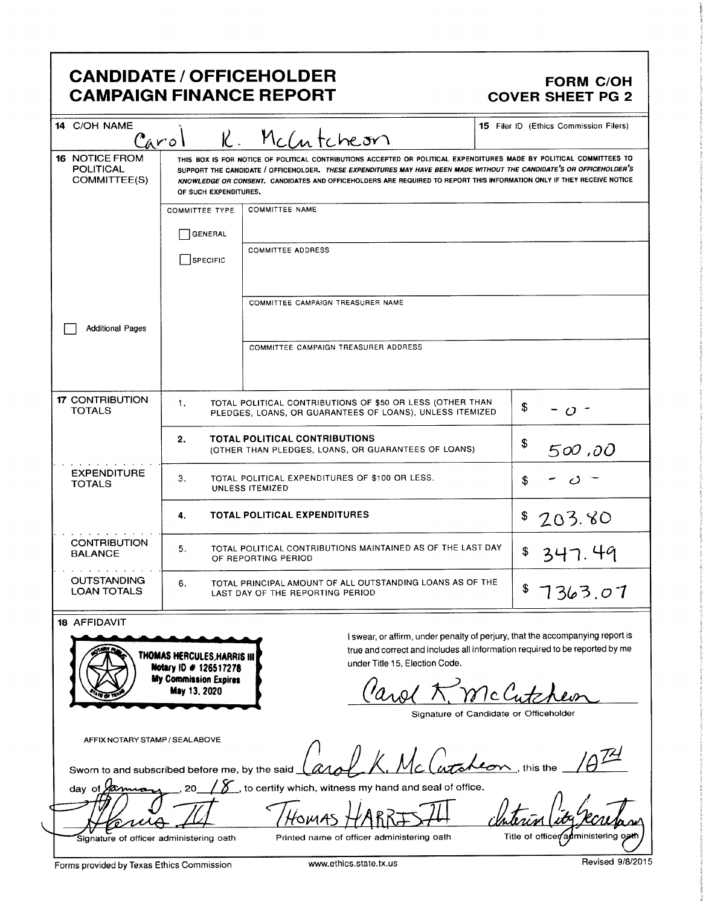# CANDIDATE / OFFICEHOLDER<br>CAMPAIGN FINANCE REPORT CAMPAIGN FINANCE REPORT **CAMPAIGN FINANCE REPORT**

| 14 C/OH NAME<br>15 Filer ID (Ethics Commission Filers)<br>McCutcheon<br>K.<br>Carol |                                                                                                                                                                                                                                                                                                                                                                                                  |                                                                                                                                                                                                                       |              |
|-------------------------------------------------------------------------------------|--------------------------------------------------------------------------------------------------------------------------------------------------------------------------------------------------------------------------------------------------------------------------------------------------------------------------------------------------------------------------------------------------|-----------------------------------------------------------------------------------------------------------------------------------------------------------------------------------------------------------------------|--------------|
| 16 NOTICE FROM<br><b>POLITICAL</b><br>COMMITTEE(S)                                  | THIS BOX IS FOR NOTICE OF POLITICAL CONTRIBUTIONS ACCEPTED OR POLITICAL EXPENDITURES MADE BY POLITICAL COMMITTEES TO<br>SUPPORT THE CANDIDATE / OFFICEHOLDER. THESE EXPENDITURES MAY HAVE BEEN MADE WITHOUT THE CANDIDATE'S OR OFFICEHOLDER'S<br>KNOWLEDGE OR CONSENT. CANDIDATES AND OFFICEHOLDERS ARE REQUIRED TO REPORT THIS INFORMATION ONLY IF THEY RECEIVE NOTICE<br>OF SUCH EXPENDITURES. |                                                                                                                                                                                                                       |              |
|                                                                                     | <b>COMMITTEE NAME</b><br><b>COMMITTEE TYPE</b><br>GENERAL<br><b>COMMITTEE ADDRESS</b><br>SPECIFIC                                                                                                                                                                                                                                                                                                |                                                                                                                                                                                                                       |              |
| <b>Additional Pages</b>                                                             |                                                                                                                                                                                                                                                                                                                                                                                                  | COMMITTEE CAMPAIGN TREASURER NAME                                                                                                                                                                                     |              |
|                                                                                     |                                                                                                                                                                                                                                                                                                                                                                                                  | COMMITTEE CAMPAIGN TREASURER ADDRESS                                                                                                                                                                                  |              |
| <b>17 CONTRIBUTION</b><br><b>TOTALS</b>                                             | TOTAL POLITICAL CONTRIBUTIONS OF \$50 OR LESS (OTHER THAN<br>1.<br>\$<br>$O^{-1}$<br>PLEDGES, LOANS, OR GUARANTEES OF LOANS), UNLESS ITEMIZED<br>2.<br><b>TOTAL POLITICAL CONTRIBUTIONS</b><br>\$<br>500,00<br>(OTHER THAN PLEDGES, LOANS, OR GUARANTEES OF LOANS)                                                                                                                               |                                                                                                                                                                                                                       |              |
|                                                                                     |                                                                                                                                                                                                                                                                                                                                                                                                  |                                                                                                                                                                                                                       |              |
| <b>EXPENDITURE</b><br><b>TOTALS</b>                                                 | TOTAL POLITICAL EXPENDITURES OF \$100 OR LESS.<br>3.<br>\$<br>UNLESS ITEMIZED                                                                                                                                                                                                                                                                                                                    |                                                                                                                                                                                                                       |              |
|                                                                                     | 4.                                                                                                                                                                                                                                                                                                                                                                                               | <b>TOTAL POLITICAL EXPENDITURES</b>                                                                                                                                                                                   | \$<br>203.80 |
| <b>CONTRIBUTION</b><br><b>BALANCE</b>                                               | TOTAL POLITICAL CONTRIBUTIONS MAINTAINED AS OF THE LAST DAY<br>5.<br>\$<br>OF REPORTING PERIOD                                                                                                                                                                                                                                                                                                   |                                                                                                                                                                                                                       | 347.49       |
| <b>OUTSTANDING</b><br><b>LOAN TOTALS</b>                                            | TOTAL PRINCIPAL AMOUNT OF ALL OUTSTANDING LOANS AS OF THE<br>6.<br>\$7363.07<br>LAST DAY OF THE REPORTING PERIOD                                                                                                                                                                                                                                                                                 |                                                                                                                                                                                                                       |              |
| 18 AFFIDAVIT                                                                        | THOMAS HERCULES, HARRIS III<br>Notary ID # 126517278<br><b>My Commission Expires</b><br><b>May 13, 2020</b>                                                                                                                                                                                                                                                                                      | I swear, or affirm, under penalty of perjury, that the accompanying report is<br>true and correct and includes all information required to be reported by me<br>under Title 15, Election Code.<br>Parol K. McCutcheon |              |
|                                                                                     |                                                                                                                                                                                                                                                                                                                                                                                                  |                                                                                                                                                                                                                       |              |

Signature of Candidate or Officeholder

AFFIX NOTARY STAMP / SEALABOVE

 $\varDelta$ Sworn to and subscribed before me, by the said  $\lfloor$  and  $\lfloor$  Mc $\rfloor$  Mc $\lfloor$  and  $\ell$  on, this the LK. Mc Catalcon, this the

day of  $\cancel{200}$ , 20 /  $\cancel{5}$ , to certify which, witness my hand and seal of office.

HOMA

f V

Signature of officer administering oath

Printed name of officer administering oath

Title of officer administering

Forms provided by Texas Ethics Commission www.ethics.state.tx.us Revised 9/8/2015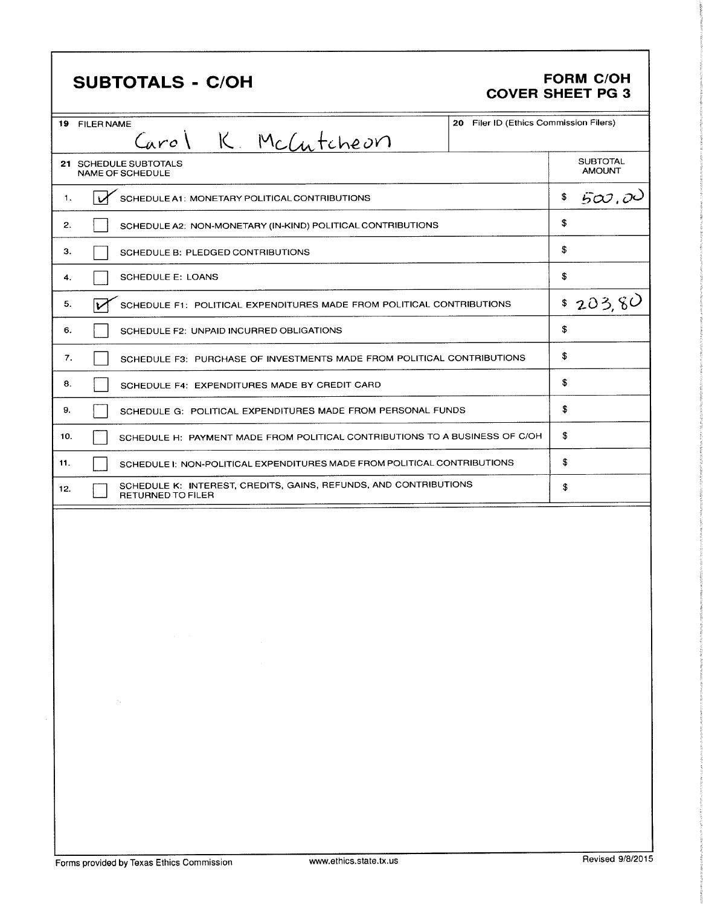| <b>SUBTOTALS - C/OH</b>                                                                                                             |                                        | <b>FORM C/OH</b><br><b>COVER SHEET PG 3</b> |  |
|-------------------------------------------------------------------------------------------------------------------------------------|----------------------------------------|---------------------------------------------|--|
| 19 FILER NAME                                                                                                                       | 20 Filer ID (Ethics Commission Filers) |                                             |  |
| Carol K. McCutcheon<br>21 SCHEDULE SUBTOTALS<br><b>NAME OF SCHEDULE</b>                                                             |                                        | <b>SUBTOTAL</b><br><b>AMOUNT</b>            |  |
| SCHEDULE A1: MONETARY POLITICAL CONTRIBUTIONS<br>1.                                                                                 |                                        | 500,00<br>\$                                |  |
| 2.<br>SCHEDULE A2: NON-MONETARY (IN-KIND) POLITICAL CONTRIBUTIONS                                                                   |                                        | \$                                          |  |
| з.                                                                                                                                  |                                        | \$                                          |  |
| SCHEDULE B: PLEDGED CONTRIBUTIONS<br><b>SCHEDULE E: LOANS</b>                                                                       |                                        | \$                                          |  |
| 4.                                                                                                                                  |                                        |                                             |  |
| 5.<br>SCHEDULE F1: POLITICAL EXPENDITURES MADE FROM POLITICAL CONTRIBUTIONS<br>v                                                    |                                        | \$203,80                                    |  |
| 6.<br>SCHEDULE F2: UNPAID INCURRED OBLIGATIONS                                                                                      |                                        | \$                                          |  |
| 7.<br>SCHEDULE F3: PURCHASE OF INVESTMENTS MADE FROM POLITICAL CONTRIBUTIONS                                                        |                                        | \$                                          |  |
| 8.<br>SCHEDULE F4: EXPENDITURES MADE BY CREDIT CARD                                                                                 |                                        |                                             |  |
| 9.<br>SCHEDULE G: POLITICAL EXPENDITURES MADE FROM PERSONAL FUNDS                                                                   |                                        | \$                                          |  |
| SCHEDULE H: PAYMENT MADE FROM POLITICAL CONTRIBUTIONS TO A BUSINESS OF C/OH<br>10.                                                  | \$                                     |                                             |  |
| 11.<br>SCHEDULE I: NON-POLITICAL EXPENDITURES MADE FROM POLITICAL CONTRIBUTIONS                                                     |                                        | \$                                          |  |
| SCHEDULE K: INTEREST, CREDITS, GAINS, REFUNDS, AND CONTRIBUTIONS<br>12.<br><b>RETURNED TO FILER</b>                                 |                                        | \$                                          |  |
| $\alpha$ , and $\alpha$ , and $\alpha$<br>$\sim 100$ km s $^{-1}$<br>the control of the state of the control of<br><b>Contactor</b> |                                        |                                             |  |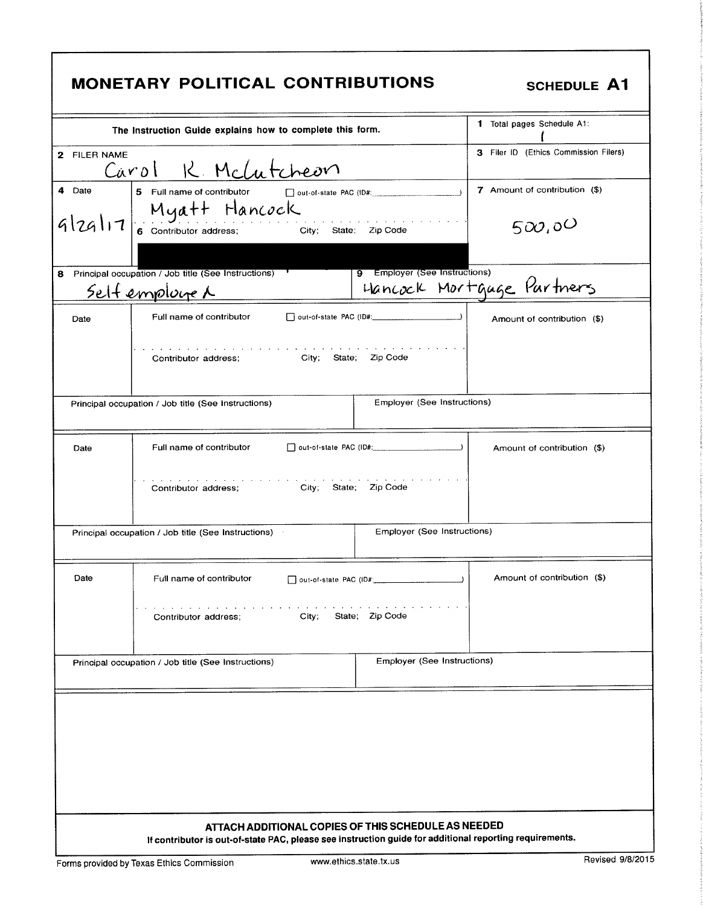| MONETARY POLITICAL CONTRIBUTIONS<br><b>SCHEDULE A1</b> |                                                                                                                                                                |                                                              |  |
|--------------------------------------------------------|----------------------------------------------------------------------------------------------------------------------------------------------------------------|--------------------------------------------------------------|--|
|                                                        | The Instruction Guide explains how to complete this form.                                                                                                      | <b>1</b> Total pages Schedule A1.                            |  |
| 2 FILER NAME                                           | Carol R. McLutcheon                                                                                                                                            | 3 Filer ID (Ethics Commission Filers)                        |  |
| 4 Date                                                 | 5 Full name of contributor<br>$\Box$ out-of-state PAC (ID#: $\Box$ )                                                                                           | 7 Amount of contribution (\$)                                |  |
| 9 29 17                                                | Myatt Hancock<br>6 Contributor address; City; State: Zip Code                                                                                                  | the companies of the companies of the companies of<br>500,00 |  |
| 8.                                                     | Principal occupation / Job title (See Instructions)<br><u>Selfemploge</u> A                                                                                    | 9 Employer (See Instructions)<br>Hancock Mortgage Partners   |  |
| Date                                                   | Full name of contributor                                                                                                                                       | Amount of contribution (\$)                                  |  |
|                                                        | المتام المتمام المتمام المتمام المتمام المتمام المتمام المتمام المتمام المتمام المتمام المتمام المتمام المتمام<br>Contributor address; City; State; Zip Code   |                                                              |  |
|                                                        | Principal occupation / Job title (See Instructions)                                                                                                            | Employer (See Instructions)                                  |  |
| Date                                                   | Full name of contributor                                                                                                                                       | Amount of contribution (\$)                                  |  |
|                                                        | City; State; Zip Code<br>Contributor address:                                                                                                                  |                                                              |  |
|                                                        | Principal occupation / Job title (See Instructions)                                                                                                            | Employer (See Instructions)                                  |  |
| Date                                                   | Full name of contributor<br>out-of-state PAC (ID#:                                                                                                             | Amount of contribution (\$)                                  |  |
| State; Zip Code<br>Contributor address;<br>City;       |                                                                                                                                                                |                                                              |  |
|                                                        | Principal occupation / Job title (See Instructions)                                                                                                            | <b>Employer (See Instructions)</b>                           |  |
|                                                        |                                                                                                                                                                |                                                              |  |
|                                                        | ATTACH ADDITIONAL COPIES OF THIS SCHEDULE AS NEEDED<br>If contributor is out-of-state PAC, please see instruction guide for additional reporting requirements. |                                                              |  |

٦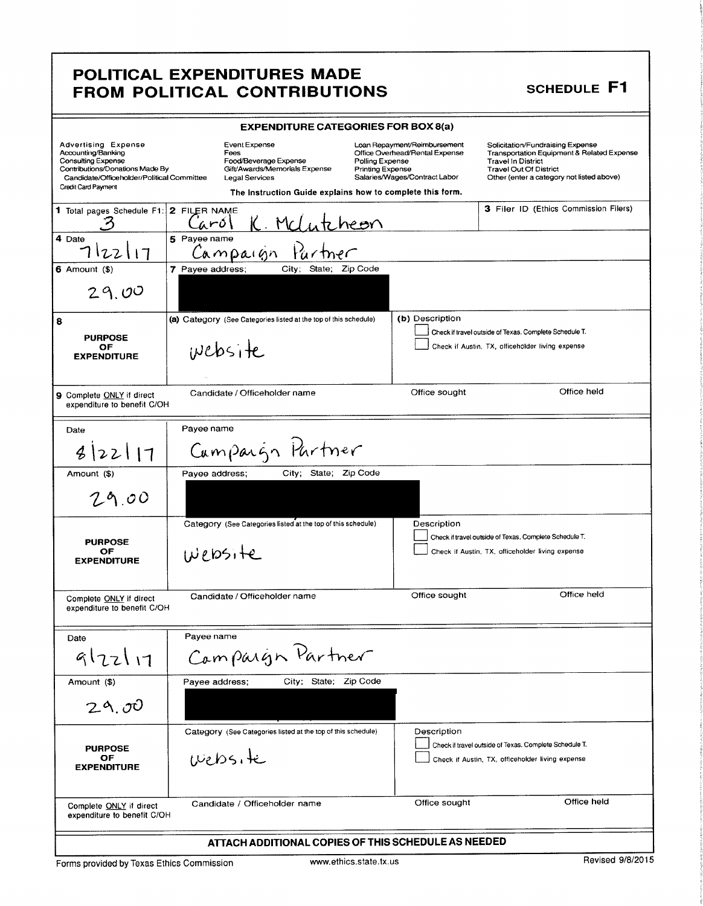## POLITICAL EXPENDITURES MADE FROM POLITICAL CONTRIBUTIONS SCHEDULE F1

| <b>EXPENDITURE CATEGORIES FOR BOX 8(a)</b>                                                                                                                                     |                                                                                                                                                                       |                                                                                                                                        |                                                                                                                                                                                           |
|--------------------------------------------------------------------------------------------------------------------------------------------------------------------------------|-----------------------------------------------------------------------------------------------------------------------------------------------------------------------|----------------------------------------------------------------------------------------------------------------------------------------|-------------------------------------------------------------------------------------------------------------------------------------------------------------------------------------------|
| <b>Advertising Expense</b><br>Accounting/Banking<br>Consulting Expense<br>Contributions/Donations Made By<br>Candidate/Officeholder/Political Committee<br>Credit Card Payment | Event Expense<br>Fees<br>Food/Beverage Expense<br>Gift/Awards/Memorials Expense<br><b>Legal Services</b><br>The Instruction Guide explains how to complete this form. | Loan Repayment/Reimbursement<br>Office Overhead/Rental Expense<br>Polling Expense<br>Printing Expense<br>Salaries/Wages/Contract Labor | Solicitation/Fundraising Expense<br>Transportation Equipment & Related Expense<br><b>Travel In District</b><br><b>Travel Out Of District</b><br>Other (enter a category not listed above) |
| 1 Total pages Schedule F1:<br>4 Date                                                                                                                                           | 2 FILER NAME<br>K. Melute<br>'aról<br>5 Payee name                                                                                                                    | heon                                                                                                                                   | 3 Filer ID (Ethics Commission Filers)                                                                                                                                                     |
| 122117<br>$6$ Amount $(\$)$<br>29.00                                                                                                                                           | Campaign<br>7 Payee address;<br>City; State; Zip Code                                                                                                                 |                                                                                                                                        |                                                                                                                                                                                           |
| 8<br><b>PURPOSE</b><br>ОF<br><b>EXPENDITURE</b>                                                                                                                                | (a) Category (See Categories listed at the top of this schedule)<br>website                                                                                           | (b) Description                                                                                                                        | Check if travel outside of Texas. Complete Schedule T.<br>Check if Austin, TX, officeholder living expense                                                                                |
| 9 Complete ONLY if direct<br>expenditure to benefit C/OH                                                                                                                       | Candidate / Officeholder name                                                                                                                                         | Office sought                                                                                                                          | Office held                                                                                                                                                                               |
| Date<br>3 22 11                                                                                                                                                                | Pavee name<br>Cumpaign Partner                                                                                                                                        |                                                                                                                                        |                                                                                                                                                                                           |
| Amount (\$)<br>29.00                                                                                                                                                           | City; State; Zip Code<br>Payee address;                                                                                                                               |                                                                                                                                        |                                                                                                                                                                                           |
| <b>PURPOSE</b><br>ОF<br><b>EXPENDITURE</b>                                                                                                                                     | Category (See Categories listed at the top of this schedule)<br>website                                                                                               | Description                                                                                                                            | Check if travel outside of Texas. Complete Schedule T.<br>Check if Austin, TX, officeholder living expense                                                                                |
| Complete ONLY if direct<br>expenditure to benefit C/OH                                                                                                                         | Candidate / Officeholder name                                                                                                                                         | Office sought                                                                                                                          | Office held                                                                                                                                                                               |
| Date<br>9122117                                                                                                                                                                | Payee name<br>Campaign Partner                                                                                                                                        |                                                                                                                                        |                                                                                                                                                                                           |
| Amount (\$)<br>29.00                                                                                                                                                           | City; State; Zip Code<br>Payee address;                                                                                                                               |                                                                                                                                        |                                                                                                                                                                                           |
| <b>PURPOSE</b><br>OF<br><b>EXPENDITURE</b>                                                                                                                                     | Category (See Categories listed at the top of this schedule)<br>website                                                                                               | Description                                                                                                                            | Check if travel outside of Texas. Complete Schedule T.<br>Check if Austin, TX, officeholder living expense                                                                                |
| Complete ONLY if direct<br>expenditure to benefit C/OH                                                                                                                         | Candidate / Officeholder name                                                                                                                                         | Office sought                                                                                                                          | Office held                                                                                                                                                                               |
| ATTACH ADDITIONAL COPIES OF THIS SCHEDULE AS NEEDED                                                                                                                            |                                                                                                                                                                       |                                                                                                                                        |                                                                                                                                                                                           |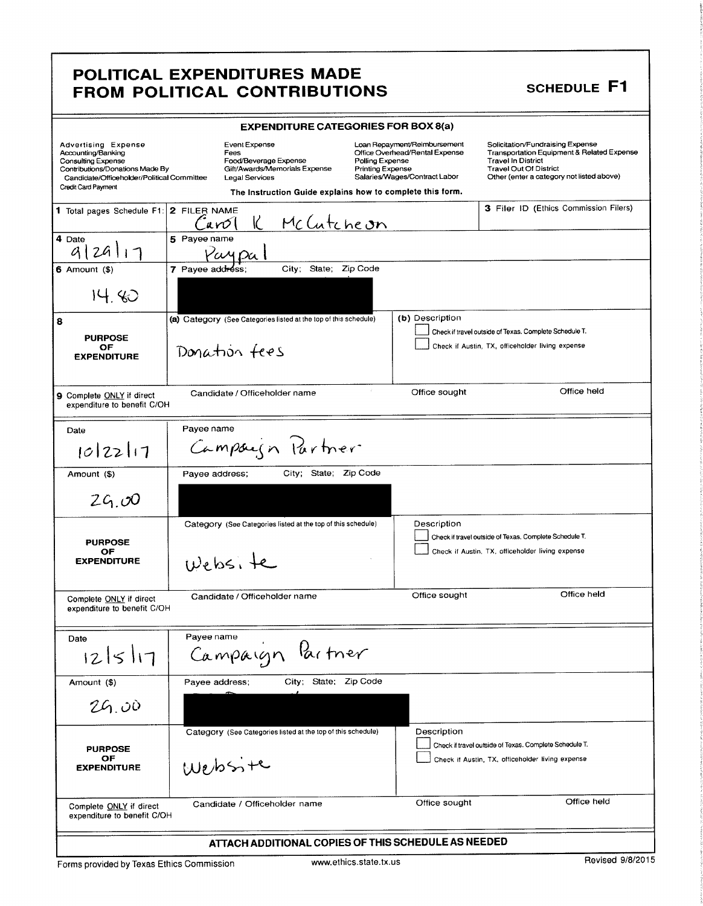### POLITICAL EXPENDITURES MADE FROM POLITICAL CONTRIBUTIONS SCHEDULE F1

t

| <b>EXPENDITURE CATEGORIES FOR BOX 8(a)</b>                                                                                                                                     |                                                                                                                                                                                                                     |                                                                                                 |                                                                                                                                                                                           |
|--------------------------------------------------------------------------------------------------------------------------------------------------------------------------------|---------------------------------------------------------------------------------------------------------------------------------------------------------------------------------------------------------------------|-------------------------------------------------------------------------------------------------|-------------------------------------------------------------------------------------------------------------------------------------------------------------------------------------------|
| Advertising Expense<br>Accounting/Banking<br><b>Consulting Expense</b><br>Contributions/Donations Made By<br>Candidate/Officeholder/Political Committee<br>Credit Card Payment | Event Expense<br>Fees<br>Food/Beverage Expense<br>Polling Expense<br>Gift/Awards/Memorials Expense<br><b>Printing Expense</b><br><b>Legal Services</b><br>The Instruction Guide explains how to complete this form. | Loan Repayment/Reimbursement<br>Office Overhead/Rental Expense<br>Salaries/Wages/Contract Labor | Solicitation/Fundraising Expense<br>Transportation Equipment & Related Expense<br><b>Travel In District</b><br><b>Travel Out Of District</b><br>Other (enter a category not listed above) |
| 1 Total pages Schedule F1: 2 FILER NAME                                                                                                                                        | K.<br>McCutcheon<br>anol                                                                                                                                                                                            |                                                                                                 | <b>3 Filer ID (Ethics Commission Filers)</b>                                                                                                                                              |
| 4 Date<br>29117                                                                                                                                                                | 5 Payee name<br>Yay Da 1                                                                                                                                                                                            |                                                                                                 |                                                                                                                                                                                           |
| $6$ Amount $($ )                                                                                                                                                               | State; Zip Code<br>City;<br>7 Payee address;                                                                                                                                                                        |                                                                                                 |                                                                                                                                                                                           |
| 14.80                                                                                                                                                                          |                                                                                                                                                                                                                     |                                                                                                 |                                                                                                                                                                                           |
| 8                                                                                                                                                                              | (a) Category (See Categories listed at the top of this schedule)                                                                                                                                                    | (b) Description                                                                                 | Check if travel outside of Texas. Complete Schedule T.                                                                                                                                    |
| <b>PURPOSE</b><br>ОF<br><b>EXPENDITURE</b>                                                                                                                                     | Donation fees                                                                                                                                                                                                       |                                                                                                 | Check if Austin, TX, officeholder living expense                                                                                                                                          |
| 9 Complete ONLY if direct<br>expenditure to benefit C/OH                                                                                                                       | Candidate / Officeholder name                                                                                                                                                                                       | Office sought                                                                                   | Office held                                                                                                                                                                               |
| Date                                                                                                                                                                           | Payee name                                                                                                                                                                                                          |                                                                                                 |                                                                                                                                                                                           |
| 0 22 11                                                                                                                                                                        | Campaign Partner                                                                                                                                                                                                    |                                                                                                 |                                                                                                                                                                                           |
| Amount (\$)                                                                                                                                                                    | City; State; Zip Code<br>Payee address;                                                                                                                                                                             |                                                                                                 |                                                                                                                                                                                           |
| 29.00                                                                                                                                                                          |                                                                                                                                                                                                                     |                                                                                                 |                                                                                                                                                                                           |
| <b>PURPOSE</b>                                                                                                                                                                 | Category (See Categories listed at the top of this schedule)                                                                                                                                                        | Description                                                                                     | Check if travel outside of Texas, Complete Schedule T.                                                                                                                                    |
| ОF<br><b>EXPENDITURE</b>                                                                                                                                                       | Website                                                                                                                                                                                                             |                                                                                                 | Check if Austin, TX, officeholder living expense                                                                                                                                          |
| Complete ONLY if direct<br>expenditure to benefit C/OH                                                                                                                         | Candidate / Officeholder name                                                                                                                                                                                       | Office sought                                                                                   | Office held                                                                                                                                                                               |
| Date                                                                                                                                                                           | Payee name                                                                                                                                                                                                          |                                                                                                 |                                                                                                                                                                                           |
| 12 5 17                                                                                                                                                                        | Campaign Partner                                                                                                                                                                                                    |                                                                                                 |                                                                                                                                                                                           |
| Amount (\$)                                                                                                                                                                    | City; State; Zip Code<br>Payee address;                                                                                                                                                                             |                                                                                                 |                                                                                                                                                                                           |
| 26.00                                                                                                                                                                          |                                                                                                                                                                                                                     |                                                                                                 |                                                                                                                                                                                           |
|                                                                                                                                                                                | Category (See Categories listed at the top of this schedule)                                                                                                                                                        | Description                                                                                     |                                                                                                                                                                                           |
| <b>PURPOSE</b><br>OF<br><b>EXPENDITURE</b>                                                                                                                                     | Website                                                                                                                                                                                                             |                                                                                                 | Check if travel outside of Texas. Complete Schedule T.<br>Check if Austin, TX, officeholder living expense                                                                                |
| Complete ONLY if direct<br>expenditure to benefit C/OH                                                                                                                         | Candidate / Officeholder name                                                                                                                                                                                       | Office sought                                                                                   | Office held                                                                                                                                                                               |
| ATTACH ADDITIONAL COPIES OF THIS SCHEDULE AS NEEDED                                                                                                                            |                                                                                                                                                                                                                     |                                                                                                 |                                                                                                                                                                                           |